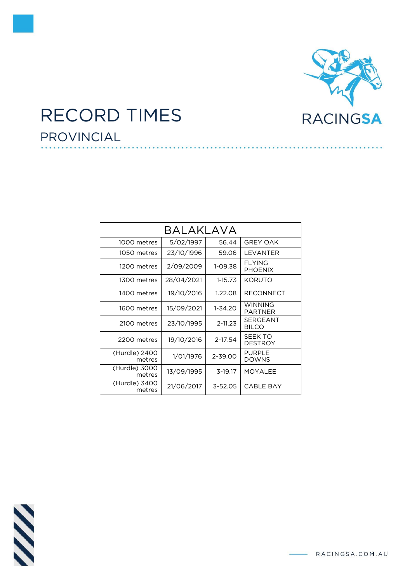

## RECORD TIMES PROVINCIAL

| BALAKLAVA               |            |             |                                  |  |
|-------------------------|------------|-------------|----------------------------------|--|
| 1000 metres             | 5/02/1997  | 56.44       | <b>GREY OAK</b>                  |  |
| 1050 metres             | 23/10/1996 | 59.06       | LEVANTER                         |  |
| 1200 metres             | 2/09/2009  | 1-09.38     | <b>FLYING</b><br><b>PHOENIX</b>  |  |
| 1300 metres             | 28/04/2021 | $1 - 15.73$ | KORUTO                           |  |
| 1400 metres             | 19/10/2016 | 1.22.08     | <b>RECONNECT</b>                 |  |
| 1600 metres             | 15/09/2021 | 1-34.20     | <b>WINNING</b><br><b>PARTNER</b> |  |
| 2100 metres             | 23/10/1995 | $2 - 11.23$ | <b>SERGEANT</b><br><b>BILCO</b>  |  |
| 2200 metres             | 19/10/2016 | 2-17.54     | SEEK TO<br><b>DESTROY</b>        |  |
| (Hurdle) 2400<br>metres | 1/01/1976  | 2-39.00     | <b>PURPLE</b><br><b>DOWNS</b>    |  |
| (Hurdle) 3000<br>metres | 13/09/1995 | 3-19.17     | <b>MOYALEE</b>                   |  |
| (Hurdle) 3400<br>metres | 21/06/2017 | $3 - 52.05$ | <b>CABLE BAY</b>                 |  |



- RACINGSA.COM.AU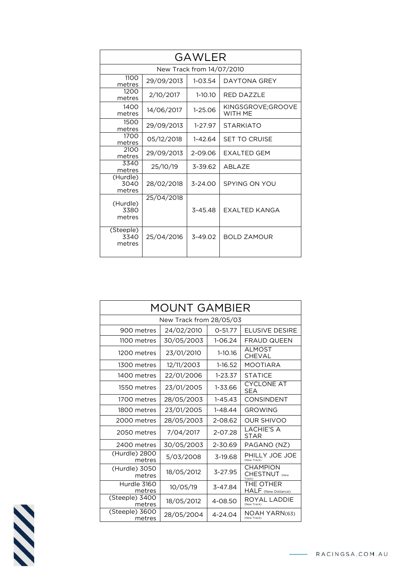| <b>GAWLER</b>               |                           |             |                              |  |  |  |
|-----------------------------|---------------------------|-------------|------------------------------|--|--|--|
|                             | New Track from 14/07/2010 |             |                              |  |  |  |
| 1100<br>metres              | 29/09/2013                | $1 - 03.54$ | DAYTONA GREY                 |  |  |  |
| 1200<br>metres              | 2/10/2017                 | $1-10.10$   | <b>RED DAZZLE</b>            |  |  |  |
| 1400<br>metres              | 14/06/2017                | 1-25.06     | KINGSGROVE;GROOVE<br>WITH ME |  |  |  |
| 1500<br>metres              | 29/09/2013                | $1-27.97$   | <b>STARKIATO</b>             |  |  |  |
| 1700<br>metres              | 05/12/2018                | $1 - 42.64$ | <b>SET TO CRUISE</b>         |  |  |  |
| 2100<br>metres              | 29/09/2013                | 2-09.06     | EXALTED GEM                  |  |  |  |
| 3340<br>metres              | 25/10/19                  | 3-39.62     | ABLAZE                       |  |  |  |
| (Hurdle)<br>3040<br>metres  | 28/02/2018                | $3 - 24.00$ | SPYING ON YOU                |  |  |  |
| (Hurdle)<br>3380<br>metres  | 25/04/2018                | $3 - 45.48$ | EXALTED KANGA                |  |  |  |
| (Steeple)<br>3340<br>metres | 25/04/2016                | $3 - 49.02$ | <b>BOLD ZAMOUR</b>           |  |  |  |

| MOUNT GAMBIER            |            |             |                                  |  |
|--------------------------|------------|-------------|----------------------------------|--|
| New Track from 28/05/03  |            |             |                                  |  |
| 900 metres               | 24/02/2010 | $0 - 51.77$ | <b>FLUSIVE DESIRE</b>            |  |
| 1100 metres              | 30/05/2003 | $1 - 06.24$ | <b>FRAUD QUEEN</b>               |  |
| 1200 metres              | 23/01/2010 | $1-10.16$   | <b>ALMOST</b><br>CHEVAL          |  |
| 1300 metres              | 12/11/2003 | 1-16.52     | <b>MOOTIARA</b>                  |  |
| 1400 metres              | 22/01/2006 | $1 - 23.37$ | <b>STATICE</b>                   |  |
| 1550 metres              | 23/01/2005 | 1-33.66     | <b>CYCLONE AT</b><br><b>SEA</b>  |  |
| 1700 metres              | 28/05/2003 | $1 - 45.43$ | <b>CONSINDENT</b>                |  |
| 1800 metres              | 23/01/2005 | $1 - 48.44$ | <b>GROWING</b>                   |  |
| 2000 metres              | 28/05/2003 | 2-08.62     | <b>OUR SHIVOO</b>                |  |
| 2050 metres              | 7/04/2017  | 2-07.28     | <b>LACHIE'S A</b><br>STAR        |  |
| 2400 metres              | 30/05/2003 | 2-30.69     | PAGANO (NZ)                      |  |
| (Hurdle) 2800<br>metres  | 5/03/2008  | 3-19.68     | PHILLY JOE JOE<br>(New Track)    |  |
| (Hurdle) 3050<br>metres  | 18/05/2012 | 3-27.95     | <b>CHAMPION</b><br>CHESTNUT (New |  |
| Hurdle 3160<br>metres    | 10/05/19   | 3-47.84     | THE OTHER<br>HALF (New Distance) |  |
| (Steeple) 3400<br>metres | 18/05/2012 | 4-08.50     | ROYAL LADDIE<br>(New Track)      |  |
| (Steeple) 3600<br>metres | 28/05/2004 | 4-24.04     | NOAH YARN(63)<br>(New Track)     |  |

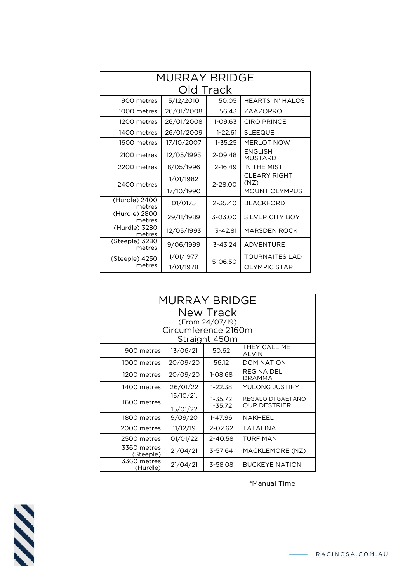| <b>MURRAY BRIDGE</b>     |            |             |                             |  |
|--------------------------|------------|-------------|-----------------------------|--|
| Old Track                |            |             |                             |  |
| 900 metres               | 5/12/2010  | 50.05       | <b>HEARTS 'N' HALOS</b>     |  |
| 1000 metres              | 26/01/2008 | 56.43       | ZAAZORRO                    |  |
| 1200 metres              | 26/01/2008 | $1-09.63$   | <b>CIRO PRINCE</b>          |  |
| 1400 metres              | 26/01/2009 | $1 - 22.61$ | <b>SLEEQUE</b>              |  |
| 1600 metres              | 17/10/2007 | $1 - 35.25$ | <b>MERLOT NOW</b>           |  |
| 2100 metres              | 12/05/1993 | 2-09.48     | ENGLISH<br><b>MUSTARD</b>   |  |
| 2200 metres              | 8/05/1996  | 2-16.49     | IN THE MIST                 |  |
| 2400 metres              | 1/01/1982  | $2 - 28.00$ | <b>CLEARY RIGHT</b><br>(NZ) |  |
|                          | 17/10/1990 |             | <b>MOUNT OLYMPUS</b>        |  |
| (Hurdle) 2400<br>metres  | 01/0175    | $2 - 35.40$ | <b>BLACKFORD</b>            |  |
| (Hurdle) 2800<br>metres  | 29/11/1989 | $3 - 03.00$ | SILVER CITY BOY             |  |
| (Hurdle) 3280<br>metres  | 12/05/1993 | $3 - 42.81$ | <b>MARSDEN ROCK</b>         |  |
| (Steeple) 3280<br>metres | 9/06/1999  | $3 - 43.24$ | <b>ADVENTURE</b>            |  |
| (Steeple) 4250           | 1/01/1977  | 5-06.50     | <b>TOURNAITES LAD</b>       |  |
| metres                   | 1/01/1978  |             | <b>OLYMPIC STAR</b>         |  |

| MURRAY BRIDGE                   |                     |                 |                              |  |
|---------------------------------|---------------------|-----------------|------------------------------|--|
| New Track                       |                     |                 |                              |  |
|                                 |                     | (From 24/07/19) |                              |  |
|                                 | Circumference 2160m |                 |                              |  |
|                                 |                     | Straight 450m   |                              |  |
| 900 metres                      | 13/06/21            | 50.62           | THEY CALL ME<br><b>ALVIN</b> |  |
| 1000 metres                     | 20/09/20            | 56.12           | <b>DOMINATION</b>            |  |
| 1200 metres                     | 20/09/20            | 1-08.68         | REGINA DEL<br><b>DRAMMA</b>  |  |
| 1400 metres                     | 26/01/22            | $1-22.38$       | YULONG JUSTIFY               |  |
|                                 | 15/10/21,           | $1 - 35.72$     | REGALO DI GAETANO            |  |
| 1600 metres                     | 15/01/22            | $1 - 35.72$     | <b>OUR DESTRIER</b>          |  |
| 1800 metres                     | 9/09/20             | 1-47.96         | NAKHEEL                      |  |
| 2000 metres                     | 11/12/19            | $2 - 02.62$     | TATALINA                     |  |
| 2500 metres                     | 01/01/22            | 2-40.58         | <b>TURF MAN</b>              |  |
| 3360 metres<br><u>(Steeple)</u> | 21/04/21            | 3-57.64         | MACKLEMORE (NZ)              |  |
| 3360 metres<br>(Hurdle)         | 21/04/21            | 3-58.08         | <b>BUCKEYE NATION</b>        |  |

\*Manual Time